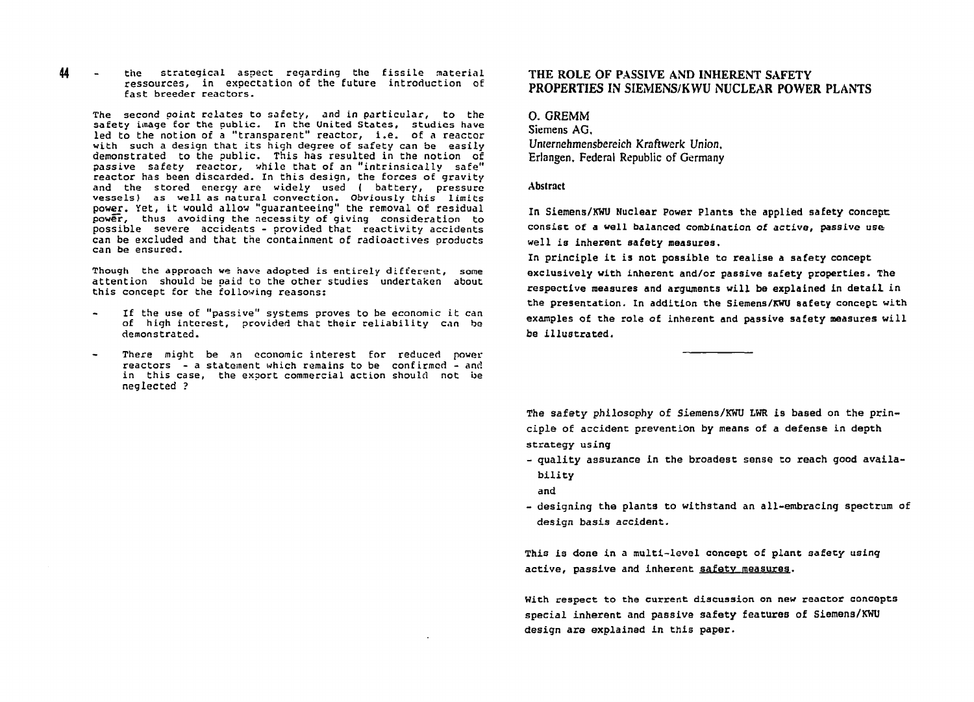44 **the strategical aspect regarding the fissile material ressources, in expectation of the future introduction of fast breeder reactors.** 

**The second point relates to safety, and in particular, to the safety image for the public. In the United States, studies have led to the notion of a "transparent" reactor, i.e. of a reactor with such a design that its high degree of safety can be easily demonstrated to the public. This has resulted in the notion of passive safety reactor, while that of an "intrinsically safe" reactor has been discarded. In this design, the forces of gravity and the stored energy are widely used ( battery, pressure vessels) as well as natural convection. Obviously this limits power. Yet, it would allow "guaranteeing" the removal of residual power, thus avoiding the necessity of giving consideration to possible severe accidents - provided that reactivity accidents can be excluded and that the containment of radioactives products can be ensured.** 

**Though the approach we have adopted is entirely different, some attention should be paid to the other studies undertaken about this concept for the following reasons:** 

- **If the use of "passive" systems proves to be economic it can of high interest, provided that their reliability can be demonstrated.**
- **There might be an economic interest for reduced power reactors - a statement which remains to be confirmed - and in this case, the export commercial action should not be neglected ?**

# **THE ROLE OF PASSIVE AND INHERENT SAFETY PROPERTIES IN SIEMENS/KWU NUCLEAR POWER PLANTS**

**0. GREMM Siemens AG, Unternehmensbereich Kraftwerk Union, Erlangen, Federal Republic of Germany** 

## **Abstract**

**In Siemens/XWl) Nuclear Power Plants the applied safety concept: consist of a well balanced combination of active, passive use well is inherent safety measures.** 

**In principle it is not possible to realise a safety concept exclusively with inherent and/or passive safety properties. The respective measures and arguments will be explained in detail in the presentation. In addition the Siemens/KWU safety concept: with examples of the role of inherent and passive safety measures will be illustrated.** 

**The safety philosophy of Siemens/KWU LWR is based on the principle of accident prevention by means of a defense in depth strategy using** 

**- quality assurance in the broadest sense to reach good availability** 

**and** 

**- designing the plants to withstand an all-embracing spectrum of design basis accident.** 

**This is done in a multi-level concept of plant safety using active, passive and inherent safety measures.** 

**With respect to the current discussion on new reactor concepts special inherent and passive safety features of Siemens/KWU design are explained in this paper.**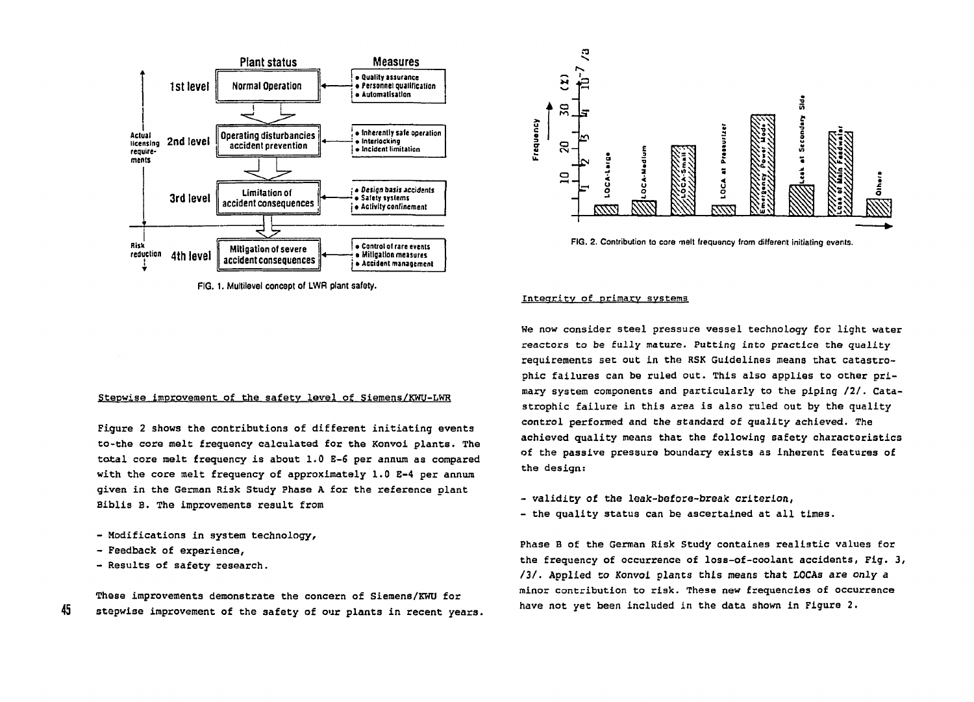

**FIG. 1. Multilevel concept of LWR plant safety.** 

# Stepwise improvement of the safety level of Siemens/KWU-LWR

**Figure 2 shows the contributions of different initiating events to-the core melt frequency calculated for the Konvoi plants. The total core melt frequency is about 1.0 E-6 per annum as compared with the core melt frequency of approximately 1.0 E-4 per annum given in the German Risk Study Phase A for the reference plant Biblis В. The improvements result from** 

- **Modifications in system technology,**
- **Feedback of experience,**

45

**- Results of safety research.** 

**These improvements demonstrate the concern of Siemens/KWU for stepwise improvement of the safety of our plants in recent years.** 



FIG. 2. Contribution to core melt frequency from different initiating events.

### **Integrity of primary systems**

**We now consider steel pressure vessel technology for light water reactors to be fully mature. Putting into practice the quality requirements set out in the RSK Guidelines means that catastrophic failures can be ruled out. This also applies to other primary system components and particularly to the piping** *121.* **Catastrophic failure in this area is also ruled out by the quality control performed and the standard of quality achieved. The achieved quality means that the following safety characteristics of the passive pressure boundary exists as inherent features of the design:** 

- validity of the leak-before-break criterion,
- **the quality status can be ascertained at all times.**

**Phase В of the German Risk Study containes realistic values for the frequency of occurrence of loss-of-coolant accidents, Fig. 3, /3/. Applied to Konvoi plants this means that LOCAs are only a**   $minor$  contribution to risk. These new frequencies of occurrence **have not yet been included in the data shown in Figure 2.**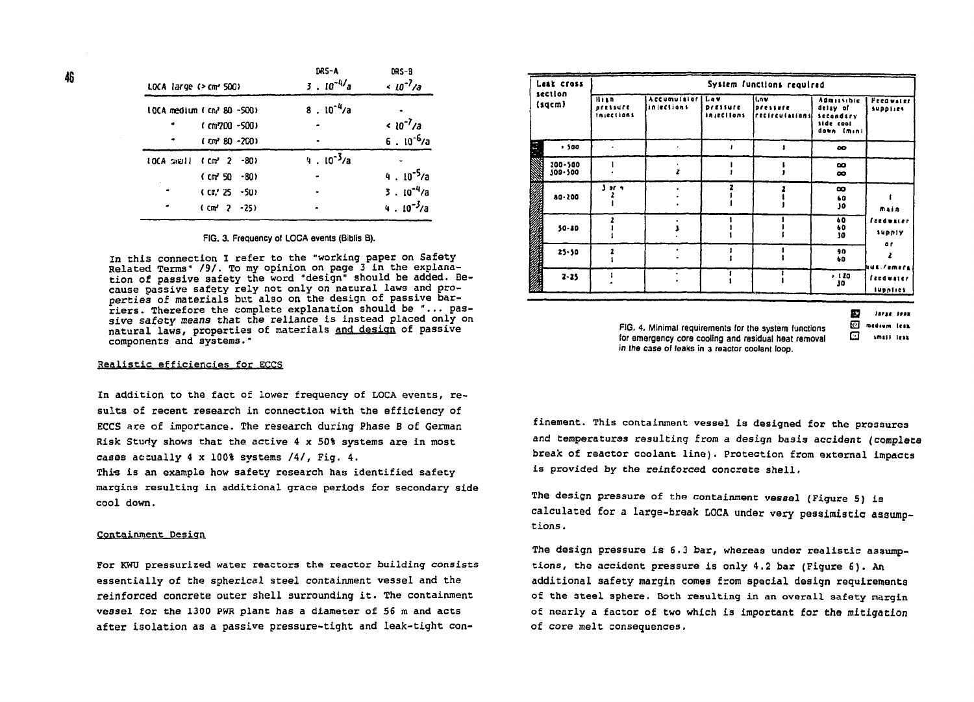| LOCA large (> cm <sup>2</sup> 500)          | DRS-A<br>$3.10^{-4/2}$ a | $DRS-8$<br>$\frac{10^{-7}}{a}$ |  |  |
|---------------------------------------------|--------------------------|--------------------------------|--|--|
| 10CA medium ( cm2 80 -500)                  | $8.10^{-4}/a$            |                                |  |  |
| (cm700-500)                                 |                          | $< 10^{-7}/a$                  |  |  |
| $(cm2 80 - 200)$                            |                          | $6.10^{-6}/a$                  |  |  |
| 10CA small (cm <sup>3</sup> 2 -80)          | $4.10^{-3}/a$            |                                |  |  |
| $(cm'50 - 80)$<br>$\mathbf{a} = \mathbf{a}$ |                          | $4.10^{-5}/a$                  |  |  |
| $\bullet$<br>(CR' 25 - 50)                  |                          | $3.10^{-4}/a$                  |  |  |
| $(m2 2 - 25)$                               |                          | $4.10^{-3}/a$                  |  |  |
|                                             |                          |                                |  |  |

FIG. 3. Frequency of LOCA events (Biblis B).

In this connection I refer to the "working paper on Safety Related Terms" /9/. To my opinion on page 3 in the explanation of passive safety the word "design" should be added. Because passive safety rely not only on natural laws and properties of materials but also on the design of passive barriers. Therefore the complete explanation should be "... passive safety means that the reliance is instead placed only on natural laws, properties of materials and design of passive components and systems."

### Realistic efficiencies for ECCS

In addition to the fact of lower frequency of LOCA events, results of recent research in connection with the efficiency of ECCS are of importance. The research during Phase B of German Risk Study shows that the active 4 x 50% systems are in most cases actually 4 x 100% systems /4/, Fig. 4.

This is an example how safety research has identified safety margins resulting in additional grace periods for secondary side cool down.

### Containment Design

For KWU pressurized water reactors the reactor building consists essentially of the spherical steel containment vessel and the reinforced concrete outer shell surrounding it. The containment vessel for the 1300 PWR plant has a diameter of 56 m and acts after isolation as a passive pressure-tight and leak-tight con-

| Leak cross<br>section<br>(sqcm) |                    | System functions required        |                                 |                               |                                       |                                                                              |                                     |  |
|---------------------------------|--------------------|----------------------------------|---------------------------------|-------------------------------|---------------------------------------|------------------------------------------------------------------------------|-------------------------------------|--|
|                                 |                    | Hi a n<br>pressure<br>Injections | Accumulator   Law<br>inlections | pressure<br><b>injections</b> | ll.nv.<br>pressure<br>recirculationsi | <b>Admissible</b><br>delay of<br><b>Secondary</b><br>side cool<br>down (min) | <b>Feedwater</b><br><b>Supplies</b> |  |
| Ξ                               | .500               |                                  |                                 |                               |                                       | $\bullet$                                                                    |                                     |  |
|                                 | 200-500<br>300-500 |                                  |                                 |                               |                                       | $\infty$<br>$\infty$                                                         |                                     |  |
|                                 | $80 - 200$         | }or ≒                            |                                 |                               |                                       | $\infty$<br>60<br>J٥                                                         | main                                |  |
|                                 | 50-80              |                                  |                                 |                               |                                       | 60<br>40<br>30                                                               | feedwater<br>supply                 |  |
|                                 | $25 - 50$          |                                  |                                 |                               |                                       | 90<br>60                                                                     | 0f<br><b>Aus /emers</b>             |  |
|                                 | $2 - 25$           |                                  |                                 |                               |                                       | , 120<br>J٥                                                                  | feedwater<br>supplies               |  |

Đ large less

FIG. 4. Minimal requirements for the system functions for emergency core cooling and residual heat removal in the case of leaks in a reactor coolant loop.

ত medium fees. ⊡ smass teak

46

finement. This containment vessel is designed for the pressures and temperatures resulting from a design basis accident (complete break of reactor coolant line). Protection from external impacts is provided by the reinforced concrete shell.

The design pressure of the containment vessel (Figure 5) is calculated for a large-break LOCA under very pessimistic assumptions.

The design pressure is 6.3 bar, whereas under realistic assumptions, the accident pressure is only 4.2 bar (Figure 6). An additional safety margin comes from special design requirements of the steel sphere. Both resulting in an overall safety margin of nearly a factor of two which is important for the mitigation of core melt consequences.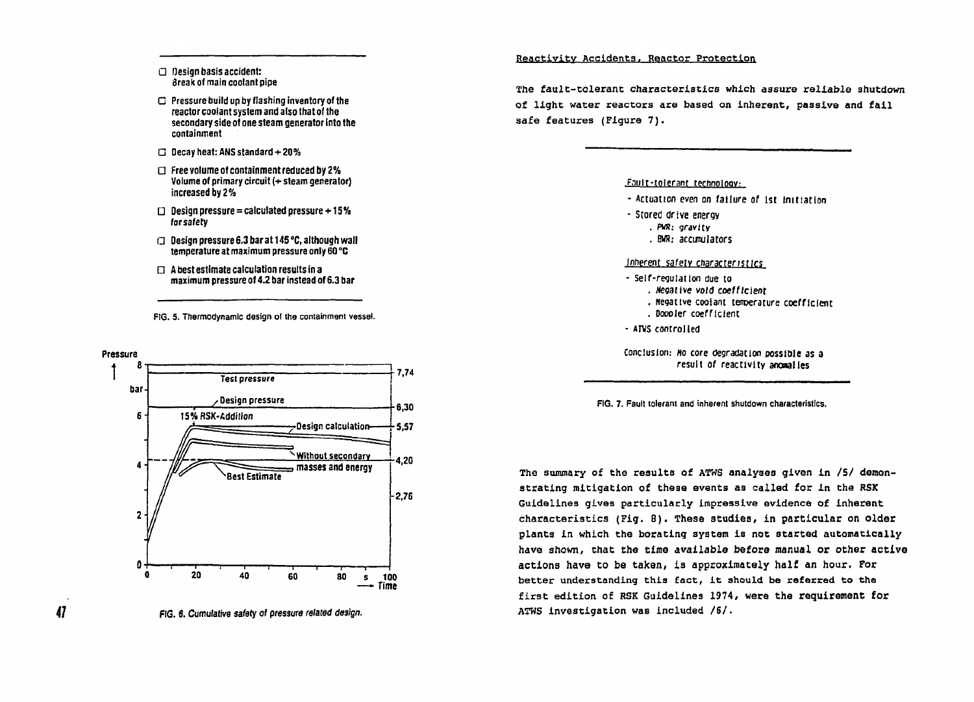### **• Oesign basis accident: Згеы of main coolant pipe**

- **Pressure build up by flashing inventory of the reactor coolant system and also that of the secondary side of one steam generator into the containment**
- **Decay heat: ANS standard + 20%**
- **Example 2 Free volume of containment reduced by 2% Volume of primary circuit (+ steam generator) increased by 2%**
- **Design pressure = calculated pressure+15% forsafety**
- **Design pressure 6.3 bar at 145 °C, although wall temperature at maximum pressure only 60 °C**
- **A best estimate calculation results in a maximum pressure of 4.2 bar instead of 6.3 bar**

**FIG.** 5. **Thermodynamic design ol the containment vessel.** 



**FIG. 6. Cumulative safety of pressure** *related design.* 

# Reactivity Accidents. Reactor Protection

The fault-tolerant characteristics which assure reliable shutdown of light water reactors are based on inherent, passive and fail safe features (Figure 7) .

#### **Fauir-tnlerant terhnoloov;**

- **Actuation even on failure of 1st Initiation**
- **Stored drive energy . FW: gravity . BVR; accumulators**

### **Innerent safety characteristics**

- **Self-regulation due to** 
	- **. «egatlve void coefficient**
	- **. Negative coolant tamerature coefficient . Doooler coefficient**
- **ATVS controlled**

**Conclusion:** *но core* **degradation possible as a result of reactivity anonalles** 

**FIG. 7. Fault tolerant and inherent shutdown characteristics.** 

The summary of the results of ATWS analyses given in **/5 /** demonstrating mitigation of these events as called for in the RSX Guidelines gives particularly impressive evidence of inherent characteristics (Fig. **8) .** These studies, in particular on older plants in which the borating system is not started automatically have shown, that the time available before manual or other active actions have to be taken, is approximately half an hour. For better understanding this fact, it should be referred to the first edition of RSK Guidelines **1974 ,** were the requirement for ATWS investigation was included **/6/ .** 

47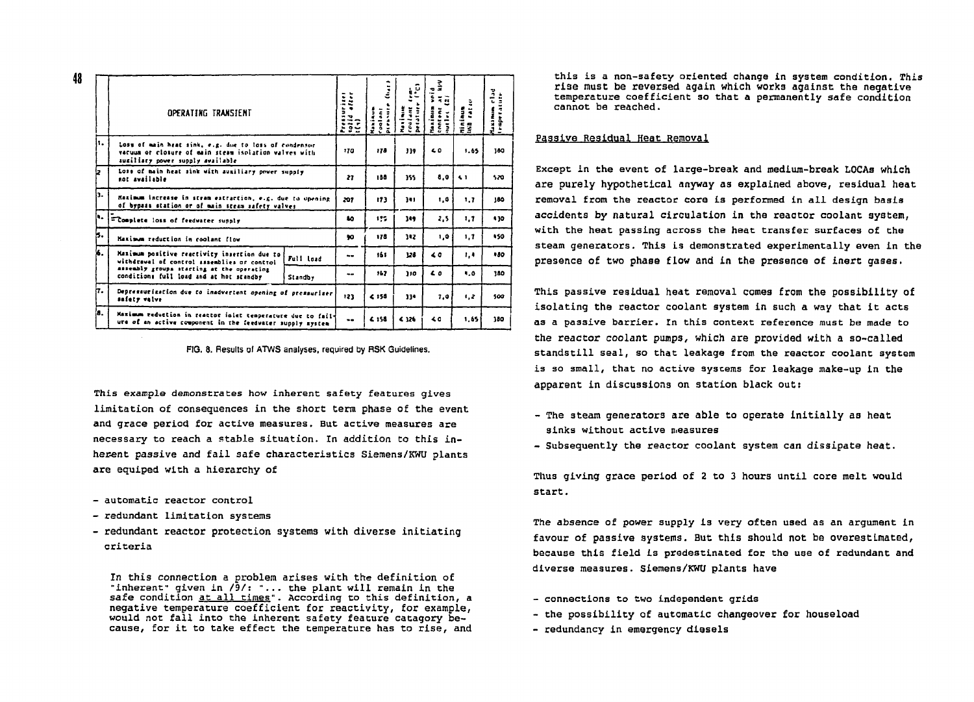|     | OPERATING TRANSIENT                                                                                                                                                                 |           |           | ٠<br>Ĩ<br>ī<br>Ī<br>្តី<br>í<br>$\tilde{a}$ | -<br>ىز<br>l<br>Į<br>j.<br>ij<br>Ili | -1<br><br>Ĕ<br>٠<br>$\bullet$<br>$\frac{1}{2}$<br>į | Minimum<br>IND TAT | Maximum elad<br>temperature |
|-----|-------------------------------------------------------------------------------------------------------------------------------------------------------------------------------------|-----------|-----------|---------------------------------------------|--------------------------------------|-----------------------------------------------------|--------------------|-----------------------------|
| ٠.  | LOSE of main heat sink, e.g. due to loss of condensor<br>vacuum or closure of main steam isolation valves with<br>auxiliary power supply available                                  |           |           | 178                                         | 339                                  | 60                                                  | 1.65               | 180                         |
|     | Loss of main heat sink with auxiliary power supply<br>not available                                                                                                                 |           |           | 188                                         | 355                                  | 8.0                                                 | 61                 | 520                         |
| iз. | Resimum increase in stram extraction, e.g. due to opening<br>of bypass station or of main steam safety valves                                                                       |           |           | 173                                         | 341                                  | 1.0                                                 | 1.7                | 180                         |
| h.  | Complete loss of feedwater supply                                                                                                                                                   |           | ã0.       | 127                                         | 149                                  | 2.5                                                 | 1.7                | \$30                        |
| ь.  | Maximum reduction in coolant flow                                                                                                                                                   |           | 90        | 178                                         | 112                                  | 1.0                                                 | 1, 7               | 150                         |
| ۷.  | Maximum positive reactivity insertion due to<br>withdrawal of control assemblies or control<br>assembly groups starting at the operating<br>conditions full load and at hot standby | Full load | $\sim$    | 161                                         | 128                                  | 40                                                  | 1,4                | 480                         |
|     |                                                                                                                                                                                     | Standby   | --        | 167                                         | 110                                  | $\epsilon$                                          | $\blacksquare$     | 380                         |
| ι.  | Depressurisation due to inadvertent opening of pressuriser<br>safety valve                                                                                                          |           | 123       | 4:55                                        | 114                                  | 7.0                                                 | 1,2                | 500                         |
| 'n. | Maximum reduction in reactor inlet temperature due to fail-<br>ure of an active component in the feedvater supply system                                                            |           | $\bullet$ | 4.158                                       | € 126                                | 40                                                  | 1.65               | 180                         |

FIG. 8. Results of ATWS analyses, required by RSK Guidelines.

This example demonstrates how inherent safety features gives limitation of consequences in the short term phase of the event and grace period for active measures. But active measures are necessary to reach a stable situation. In addition to this inherent passive and fail safe characteristics Siemens/KWU plants are equiped with a hierarchy of

- automatic reactor control
- redundant limitation systems
- redundant reactor protection systems with diverse initiating criteria

In this connection a problem arises with the definition of "inherent" given in  $\sqrt{9}/$ : "... the plant will remain in the safe condition at all times". According to this definition, a negative temperature coefficient for reactivity, for example, would not fall into the inherent safety feature catagory because, for it to take effect the temperature has to rise, and

this is a non-safety oriented change in system condition. This rise must be reversed again which works against the negative temperature coefficient so that a permanently safe condition cannot be reached.

# Passive Residual Heat Removal

Except in the event of large-break and medium-break LOCAs which are purely hypothetical anyway as explained above, residual heat removal from the reactor core is performed in all design basis accidents by natural circulation in the reactor coolant system, with the heat passing across the heat transfer surfaces of the steam generators. This is demonstrated experimentally even in the presence of two phase flow and in the presence of inert gases.

This passive residual heat removal comes from the possibility of isolating the reactor coolant system in such a way that it acts as a passive barrier. In this context reference must be made to the reactor coolant pumps, which are provided with a so-called standstill seal, so that leakage from the reactor coolant system is so small, that no active systems for leakage make-up in the apparent in discussions on station black out:

- The steam generators are able to operate initially as heat sinks without active measures
- Subsequently the reactor coolant system can dissipate heat.

Thus giving grace period of 2 to 3 hours until core melt would start.

The absence of power supply is very often used as an argument in favour of passive systems. But this should not be overestimated, because this field is predestinated for the use of redundant and diverse measures. Siemens/KWU plants have

- connections to two independent grids
- the possibility of automatic changeover for houseload
- redundancy in emergency diesels

48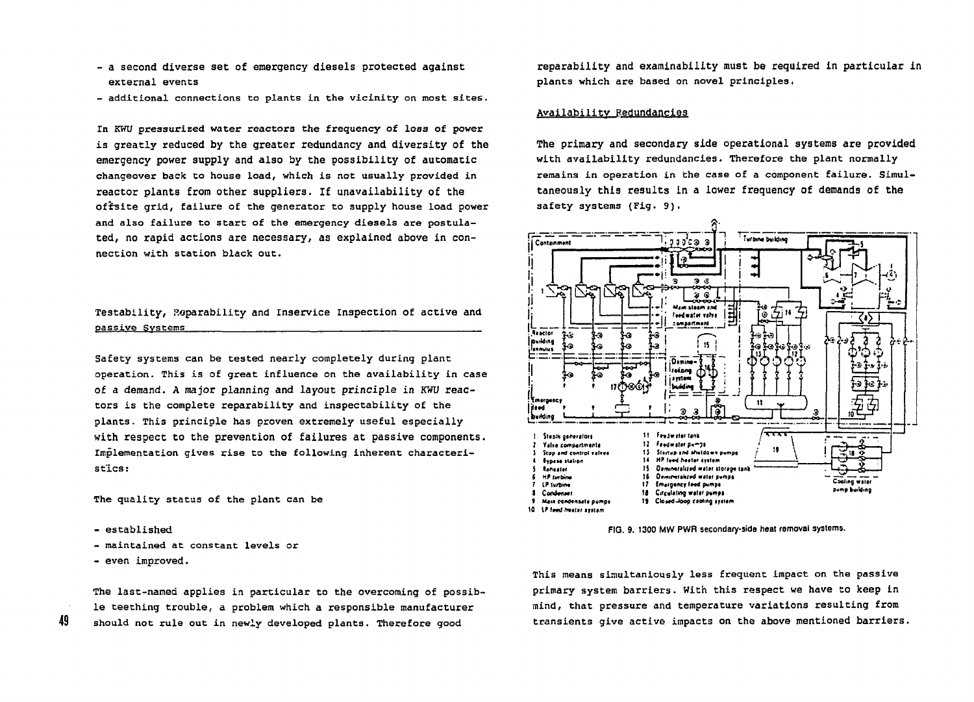- a second diverse set of emergency diesels protected against external events
- additional connections to plants in the vicinity on most sites.

In KWU pressurized water reactors the frequency of loss of power is greatly reduced by the greater redundancy and diversity of the emergency power supply and also by the possibility of automatic changeover back to house load, which is not usually provided in reactor plants from other suppliers. If unavailability of the offsite grid, failure of the generator to supply house load power and also failure to start of the emergency diesels are postulated, no rapid actions are necessary, as explained above in connection with station black out.

# Testability, Reparability and Inservice Inspection of active and passive Systems

Safety systems can be tested nearly completely during plant operation. This is of great influence on the availability in case of a demand. A major planning and lavout principle in KWU reactors is the complete reparability and inspectability of the plants. This principle has proven extremely useful especially with respect to the prevention of failures at passive components. Implementation gives rise to the following inherent characteristics:

The quality status of the plant can be

 $=$  established

- maintained at constant levels or
- even improved.

49

The last-named applies in particular to the overcoming of possible teething trouble, a problem which a responsible manufacturer should not rule out in newly developed plants. Therefore good

reparability and examinability must be required in particular in plants which are based on novel principles.

## Availability Redundancies

The primary and secondary side operational systems are provided with availability redundancies. Therefore the plant normally remains in operation in the case of a component failure. Simultaneously this results in a lower frequency of demands of the safety systems (Fig. 9).



FIG. 9. 1300 MW PWR secondary-side heat removal systems.

This means simultaniously less frequent impact on the passive primary system barriers. With this respect we have to keep in mind, that pressure and temperature variations resulting from transients give active impacts on the above mentioned barriers.